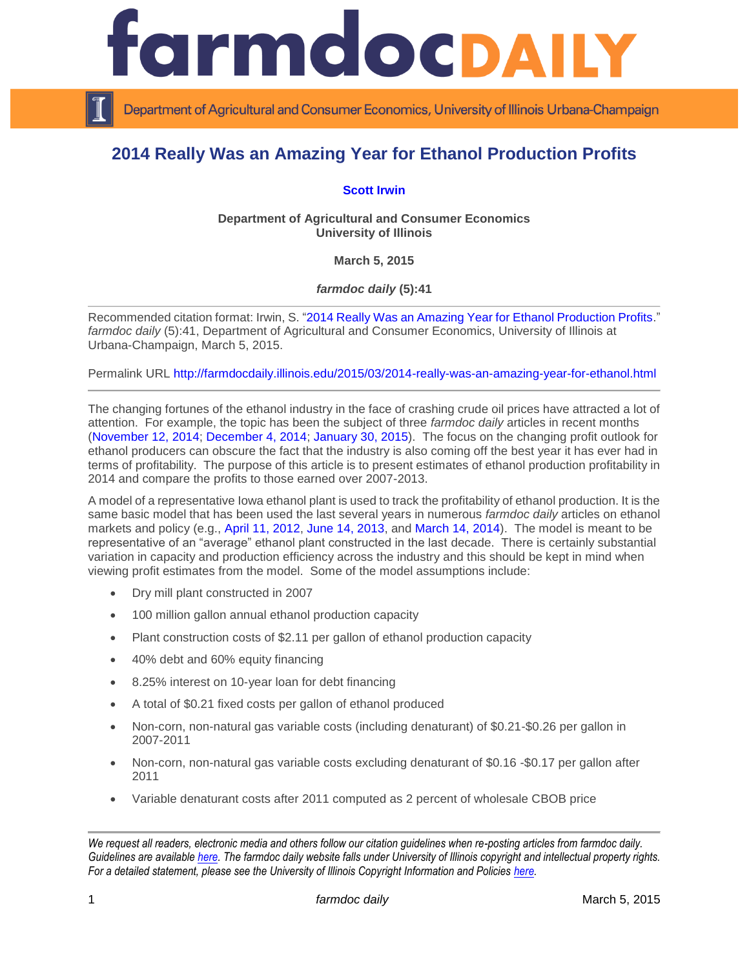

Department of Agricultural and Consumer Economics, University of Illinois Urbana-Champaign

## **2014 Really Was an Amazing Year for Ethanol Production Profits**

## **[Scott Irwin](http://farmdoc.illinois.edu/irwin/)**

**Department of Agricultural and Consumer Economics University of Illinois**

**March 5, 2015**

*farmdoc daily* **(5):41**

Recommended citation format: Irwin, S. "2014 Really [Was an Amazing Year for Ethanol Production Profits.](http://farmdocdaily.illinois.edu/2015/03/2014-really-was-an-amazing-year-for-ethanol.html)" *farmdoc daily* (5):41, Department of Agricultural and Consumer Economics, University of Illinois at Urbana-Champaign, March 5, 2015.

Permalink URL<http://farmdocdaily.illinois.edu/2015/03/2014-really-was-an-amazing-year-for-ethanol.html>

The changing fortunes of the ethanol industry in the face of crashing crude oil prices have attracted a lot of attention. For example, the topic has been the subject of three *farmdoc daily* articles in recent months [\(November 12, 2014;](http://farmdocdaily.illinois.edu/2014/11/do-falling-gasoline-prices-threaton-ethanol.html) [December 4, 2014;](http://farmdocdaily.illinois.edu/2014/12/how-falling-gasoline-prices-affect-ethanol-corn-demand.html) [January 30, 2015\)](http://farmdocdaily.illinois.edu/2015/01/further-evidence-on-competitiveness-of-ethanol.html). The focus on the changing profit outlook for ethanol producers can obscure the fact that the industry is also coming off the best year it has ever had in terms of profitability. The purpose of this article is to present estimates of ethanol production profitability in 2014 and compare the profits to those earned over 2007-2013.

A model of a representative Iowa ethanol plant is used to track the profitability of ethanol production. It is the same basic model that has been used the last several years in numerous *farmdoc daily* articles on ethanol markets and policy (e.g., [April 11, 2012,](http://farmdocdaily.illinois.edu/2012/04/a-look-at-the-profitability-of.html) [June 14, 2013,](http://farmdocdaily.illinois.edu/2013/06/updated-profitability-ethanol-production.html) and [March 14, 2014\)](http://farmdocdaily.illinois.edu/2014/03/recent-trends-in-the-profitability-of-ethanol-production.html). The model is meant to be representative of an "average" ethanol plant constructed in the last decade. There is certainly substantial variation in capacity and production efficiency across the industry and this should be kept in mind when viewing profit estimates from the model. Some of the model assumptions include:

- Dry mill plant constructed in 2007
- 100 million gallon annual ethanol production capacity
- Plant construction costs of \$2.11 per gallon of ethanol production capacity
- 40% debt and 60% equity financing
- 8.25% interest on 10-year loan for debt financing
- A total of \$0.21 fixed costs per gallon of ethanol produced
- Non-corn, non-natural gas variable costs (including denaturant) of \$0.21-\$0.26 per gallon in 2007-2011
- Non-corn, non-natural gas variable costs excluding denaturant of \$0.16 -\$0.17 per gallon after 2011
- Variable denaturant costs after 2011 computed as 2 percent of wholesale CBOB price

*We request all readers, electronic media and others follow our citation guidelines when re-posting articles from farmdoc daily. Guidelines are available [here.](http://farmdocdaily.illinois.edu/citationguide.html) The farmdoc daily website falls under University of Illinois copyright and intellectual property rights. For a detailed statement, please see the University of Illinois Copyright Information and Policies [here.](http://www.cio.illinois.edu/policies/copyright/)*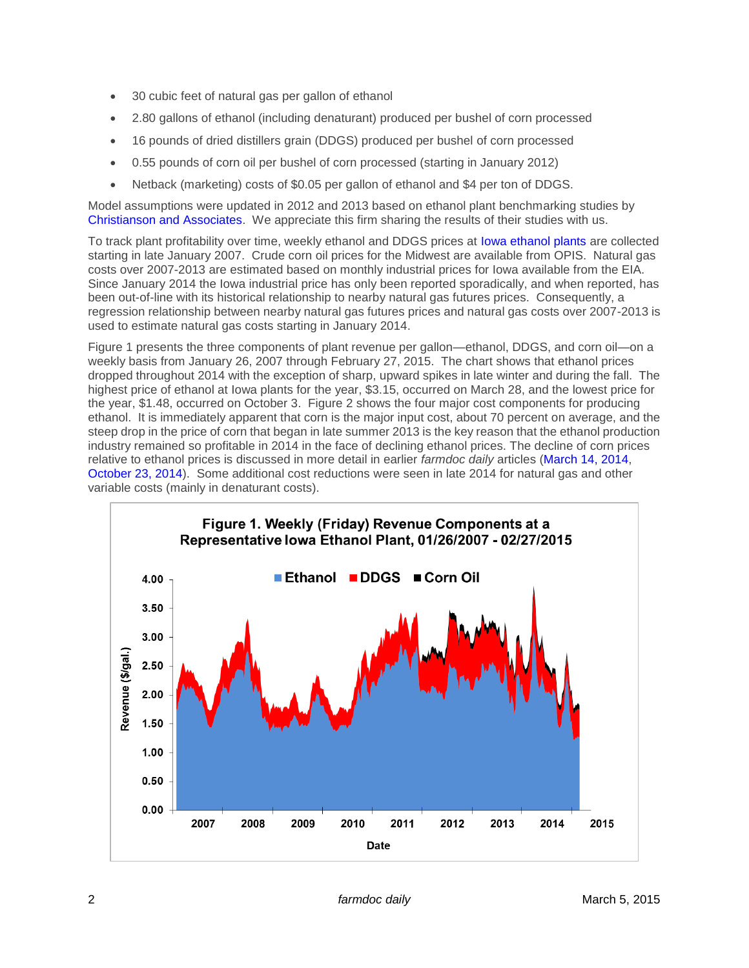- 30 cubic feet of natural gas per gallon of ethanol
- 2.80 gallons of ethanol (including denaturant) produced per bushel of corn processed
- 16 pounds of dried distillers grain (DDGS) produced per bushel of corn processed
- 0.55 pounds of corn oil per bushel of corn processed (starting in January 2012)
- Netback (marketing) costs of \$0.05 per gallon of ethanol and \$4 per ton of DDGS.

Model assumptions were updated in 2012 and 2013 based on ethanol plant benchmarking studies by [Christianson and Associates.](http://www.christiansoncpa.com/) We appreciate this firm sharing the results of their studies with us.

To track plant profitability over time, weekly ethanol and DDGS prices at [Iowa ethanol plants](http://www.ams.usda.gov/mnreports/nw_gr212.txt) are collected starting in late January 2007. Crude corn oil prices for the Midwest are available from OPIS. Natural gas costs over 2007-2013 are estimated based on monthly industrial prices for Iowa available from the EIA. Since January 2014 the Iowa industrial price has only been reported sporadically, and when reported, has been out-of-line with its historical relationship to nearby natural gas futures prices. Consequently, a regression relationship between nearby natural gas futures prices and natural gas costs over 2007-2013 is used to estimate natural gas costs starting in January 2014.

Figure 1 presents the three components of plant revenue per gallon—ethanol, DDGS, and corn oil—on a weekly basis from January 26, 2007 through February 27, 2015. The chart shows that ethanol prices dropped throughout 2014 with the exception of sharp, upward spikes in late winter and during the fall. The highest price of ethanol at Iowa plants for the year, \$3.15, occurred on March 28, and the lowest price for the year, \$1.48, occurred on October 3. Figure 2 shows the four major cost components for producing ethanol. It is immediately apparent that corn is the major input cost, about 70 percent on average, and the steep drop in the price of corn that began in late summer 2013 is the key reason that the ethanol production industry remained so profitable in 2014 in the face of declining ethanol prices. The decline of corn prices relative to ethanol prices is discussed in more detail in earlier *farmdoc daily* articles [\(March 14, 2014,](http://farmdocdaily.illinois.edu/2014/03/recent-trends-in-the-profitability-of-ethanol-production.html) [October 23, 2014\)](http://farmdocdaily.illinois.edu/2014/10/ethanol-production-profits-hit-the-wall.html). Some additional cost reductions were seen in late 2014 for natural gas and other variable costs (mainly in denaturant costs).

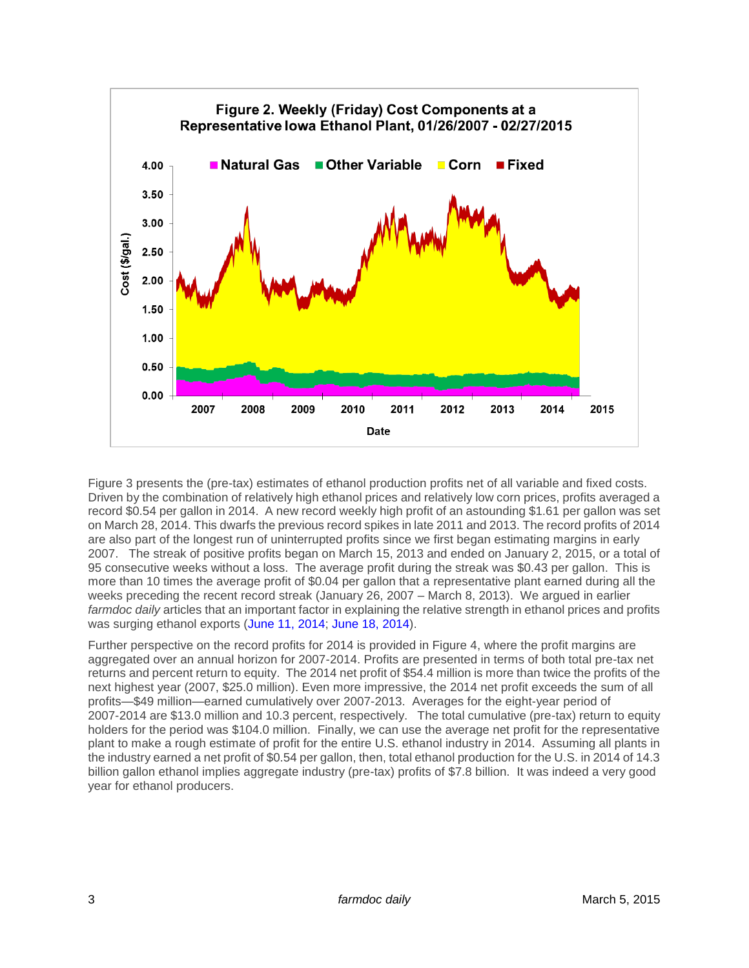

Figure 3 presents the (pre-tax) estimates of ethanol production profits net of all variable and fixed costs. Driven by the combination of relatively high ethanol prices and relatively low corn prices, profits averaged a record \$0.54 per gallon in 2014. A new record weekly high profit of an astounding \$1.61 per gallon was set on March 28, 2014. This dwarfs the previous record spikes in late 2011 and 2013. The record profits of 2014 are also part of the longest run of uninterrupted profits since we first began estimating margins in early 2007. The streak of positive profits began on March 15, 2013 and ended on January 2, 2015, or a total of 95 consecutive weeks without a loss. The average profit during the streak was \$0.43 per gallon. This is more than 10 times the average profit of \$0.04 per gallon that a representative plant earned during all the weeks preceding the recent record streak (January 26, 2007 – March 8, 2013). We argued in earlier *farmdoc daily* articles that an important factor in explaining the relative strength in ethanol prices and profits was surging ethanol exports [\(June 11, 2014;](http://farmdocdaily.illinois.edu/2014/06/why-are-ethanol-prices-and-production-profits-so-high.html) [June 18, 2014\)](http://farmdocdaily.illinois.edu/2014/06/trade-patterns-and-crude-oil-prices-for-ethanol-corn.html).

Further perspective on the record profits for 2014 is provided in Figure 4, where the profit margins are aggregated over an annual horizon for 2007-2014. Profits are presented in terms of both total pre-tax net returns and percent return to equity. The 2014 net profit of \$54.4 million is more than twice the profits of the next highest year (2007, \$25.0 million). Even more impressive, the 2014 net profit exceeds the sum of all profits—\$49 million—earned cumulatively over 2007-2013. Averages for the eight-year period of 2007-2014 are \$13.0 million and 10.3 percent, respectively. The total cumulative (pre-tax) return to equity holders for the period was \$104.0 million. Finally, we can use the average net profit for the representative plant to make a rough estimate of profit for the entire U.S. ethanol industry in 2014. Assuming all plants in the industry earned a net profit of \$0.54 per gallon, then, total ethanol production for the U.S. in 2014 of 14.3 billion gallon ethanol implies aggregate industry (pre-tax) profits of \$7.8 billion. It was indeed a very good year for ethanol producers.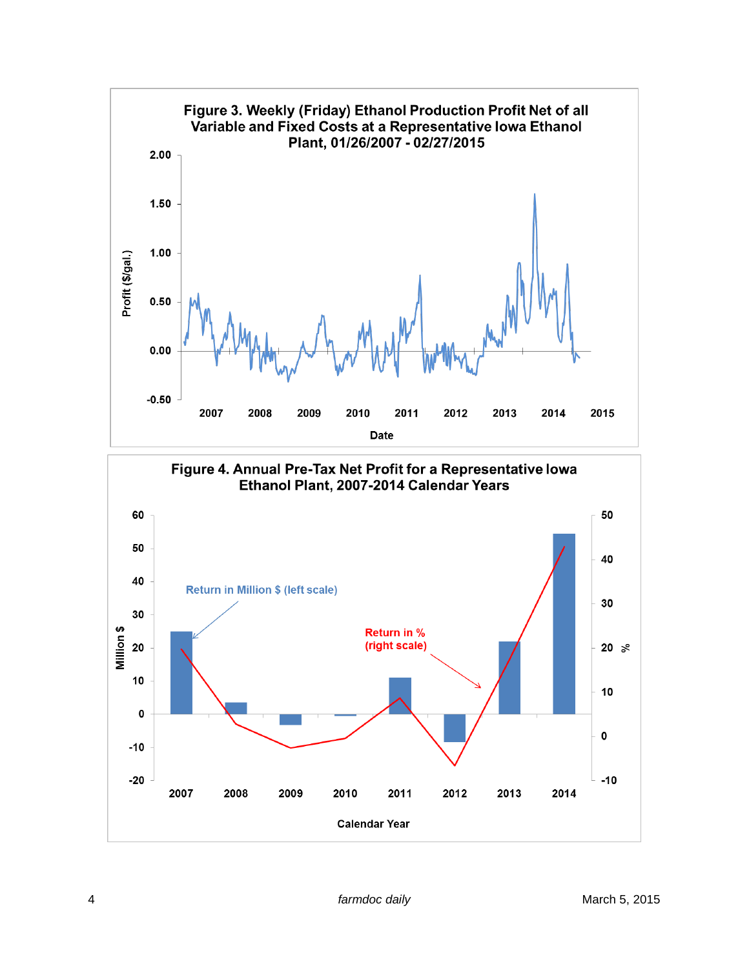